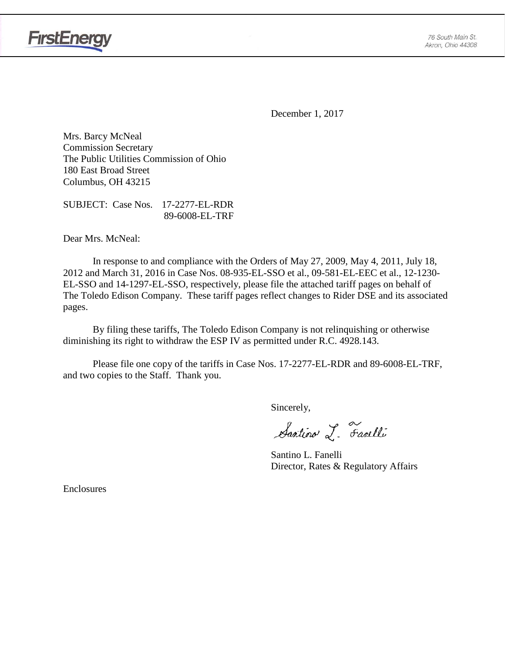

**FirstEnergy** 

December 1, 2017

Mrs. Barcy McNeal Commission Secretary The Public Utilities Commission of Ohio 180 East Broad Street Columbus, OH 43215

SUBJECT: Case Nos. 17-2277-EL-RDR 89-6008-EL-TRF

Dear Mrs. McNeal:

In response to and compliance with the Orders of May 27, 2009, May 4, 2011, July 18, 2012 and March 31, 2016 in Case Nos. 08-935-EL-SSO et al., 09-581-EL-EEC et al., 12-1230- EL-SSO and 14-1297-EL-SSO, respectively, please file the attached tariff pages on behalf of The Toledo Edison Company. These tariff pages reflect changes to Rider DSE and its associated pages.

By filing these tariffs, The Toledo Edison Company is not relinquishing or otherwise diminishing its right to withdraw the ESP IV as permitted under R.C. 4928.143.

Please file one copy of the tariffs in Case Nos. 17-2277-EL-RDR and 89-6008-EL-TRF, and two copies to the Staff. Thank you.

Sincerely,

Santino L. Farelli

Santino L. Fanelli Director, Rates & Regulatory Affairs

Enclosures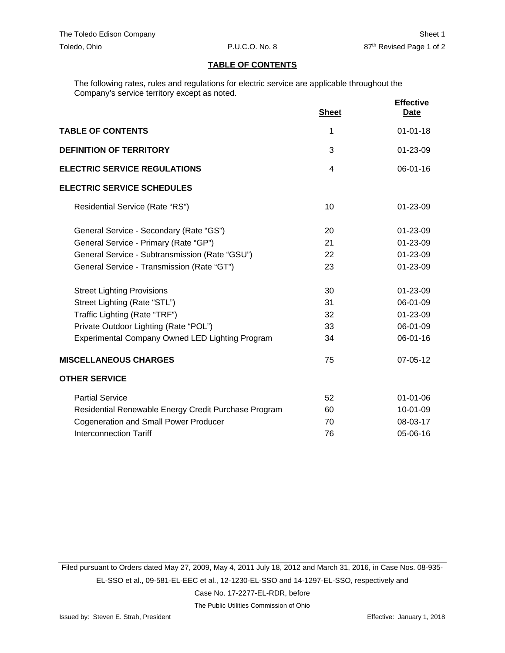#### **TABLE OF CONTENTS**

The following rates, rules and regulations for electric service are applicable throughout the Company's service territory except as noted.

|                                                      | <b>Sheet</b> | <b>Effective</b><br><b>Date</b> |
|------------------------------------------------------|--------------|---------------------------------|
| <b>TABLE OF CONTENTS</b>                             | 1            | $01 - 01 - 18$                  |
| <b>DEFINITION OF TERRITORY</b>                       | 3            | 01-23-09                        |
| <b>ELECTRIC SERVICE REGULATIONS</b>                  | 4            | 06-01-16                        |
| <b>ELECTRIC SERVICE SCHEDULES</b>                    |              |                                 |
| Residential Service (Rate "RS")                      | 10           | $01 - 23 - 09$                  |
| General Service - Secondary (Rate "GS")              | 20           | $01 - 23 - 09$                  |
| General Service - Primary (Rate "GP")                | 21           | 01-23-09                        |
| General Service - Subtransmission (Rate "GSU")       | 22           | 01-23-09                        |
| General Service - Transmission (Rate "GT")           | 23           | 01-23-09                        |
| <b>Street Lighting Provisions</b>                    | 30           | 01-23-09                        |
| Street Lighting (Rate "STL")                         | 31           | 06-01-09                        |
| Traffic Lighting (Rate "TRF")                        | 32           | 01-23-09                        |
| Private Outdoor Lighting (Rate "POL")                | 33           | 06-01-09                        |
| Experimental Company Owned LED Lighting Program      | 34           | 06-01-16                        |
| <b>MISCELLANEOUS CHARGES</b>                         | 75           | 07-05-12                        |
| <b>OTHER SERVICE</b>                                 |              |                                 |
| <b>Partial Service</b>                               | 52           | $01 - 01 - 06$                  |
| Residential Renewable Energy Credit Purchase Program | 60           | 10-01-09                        |
| <b>Cogeneration and Small Power Producer</b>         | 70           | 08-03-17                        |
| <b>Interconnection Tariff</b>                        | 76           | 05-06-16                        |

Filed pursuant to Orders dated May 27, 2009, May 4, 2011 July 18, 2012 and March 31, 2016, in Case Nos. 08-935- EL-SSO et al., 09-581-EL-EEC et al., 12-1230-EL-SSO and 14-1297-EL-SSO, respectively and Case No. 17-2277-EL-RDR, before

The Public Utilities Commission of Ohio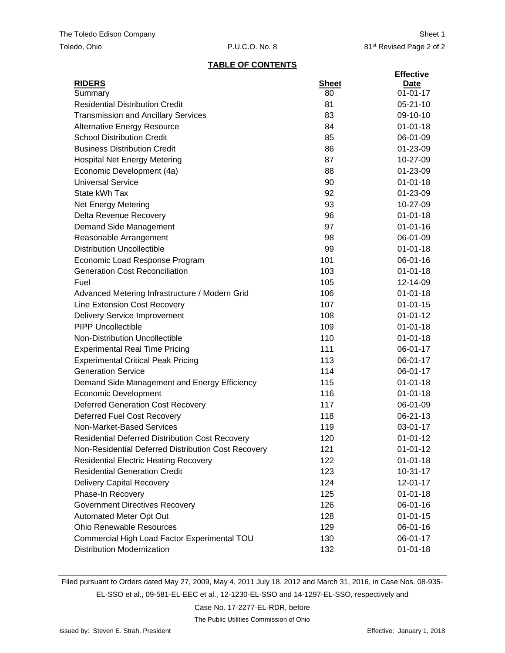#### **TABLE OF CONTENTS**

|                                                        |              | <b>Effective</b> |
|--------------------------------------------------------|--------------|------------------|
| <b>RIDERS</b>                                          | <b>Sheet</b> | Date             |
| Summary                                                | 80           | $01 - 01 - 17$   |
| <b>Residential Distribution Credit</b>                 | 81           | $05 - 21 - 10$   |
| <b>Transmission and Ancillary Services</b>             | 83           | 09-10-10         |
| <b>Alternative Energy Resource</b>                     | 84           | $01 - 01 - 18$   |
| <b>School Distribution Credit</b>                      | 85           | 06-01-09         |
| <b>Business Distribution Credit</b>                    | 86           | 01-23-09         |
| <b>Hospital Net Energy Metering</b>                    | 87           | 10-27-09         |
| Economic Development (4a)                              | 88           | 01-23-09         |
| <b>Universal Service</b>                               | 90           | $01 - 01 - 18$   |
| State kWh Tax                                          | 92           | 01-23-09         |
| <b>Net Energy Metering</b>                             | 93           | 10-27-09         |
| Delta Revenue Recovery                                 | 96           | $01 - 01 - 18$   |
| Demand Side Management                                 | 97           | $01 - 01 - 16$   |
| Reasonable Arrangement                                 | 98           | 06-01-09         |
| <b>Distribution Uncollectible</b>                      | 99           | $01 - 01 - 18$   |
| Economic Load Response Program                         | 101          | 06-01-16         |
| <b>Generation Cost Reconciliation</b>                  | 103          | $01 - 01 - 18$   |
| Fuel                                                   | 105          | 12-14-09         |
| Advanced Metering Infrastructure / Modern Grid         | 106          | $01 - 01 - 18$   |
| Line Extension Cost Recovery                           | 107          | $01 - 01 - 15$   |
| <b>Delivery Service Improvement</b>                    | 108          | $01 - 01 - 12$   |
| <b>PIPP Uncollectible</b>                              | 109          | $01 - 01 - 18$   |
| Non-Distribution Uncollectible                         | 110          | $01 - 01 - 18$   |
| <b>Experimental Real Time Pricing</b>                  | 111          | 06-01-17         |
| <b>Experimental Critical Peak Pricing</b>              | 113          | 06-01-17         |
| <b>Generation Service</b>                              | 114          | 06-01-17         |
| Demand Side Management and Energy Efficiency           | 115          | $01 - 01 - 18$   |
| <b>Economic Development</b>                            | 116          | $01 - 01 - 18$   |
| <b>Deferred Generation Cost Recovery</b>               | 117          | 06-01-09         |
| Deferred Fuel Cost Recovery                            | 118          | 06-21-13         |
| Non-Market-Based Services                              | 119          | 03-01-17         |
| <b>Residential Deferred Distribution Cost Recovery</b> | 120          | $01 - 01 - 12$   |
| Non-Residential Deferred Distribution Cost Recovery    | 121          | $01 - 01 - 12$   |
| <b>Residential Electric Heating Recovery</b>           | 122          | $01 - 01 - 18$   |
| <b>Residential Generation Credit</b>                   | 123          | $10 - 31 - 17$   |
| <b>Delivery Capital Recovery</b>                       | 124          | 12-01-17         |
| Phase-In Recovery                                      | 125          | $01 - 01 - 18$   |
| <b>Government Directives Recovery</b>                  | 126          | 06-01-16         |
| Automated Meter Opt Out                                | 128          | $01 - 01 - 15$   |
| <b>Ohio Renewable Resources</b>                        | 129          | 06-01-16         |
| Commercial High Load Factor Experimental TOU           | 130          | 06-01-17         |
| <b>Distribution Modernization</b>                      | 132          | $01 - 01 - 18$   |

Filed pursuant to Orders dated May 27, 2009, May 4, 2011 July 18, 2012 and March 31, 2016, in Case Nos. 08-935-

EL-SSO et al., 09-581-EL-EEC et al., 12-1230-EL-SSO and 14-1297-EL-SSO, respectively and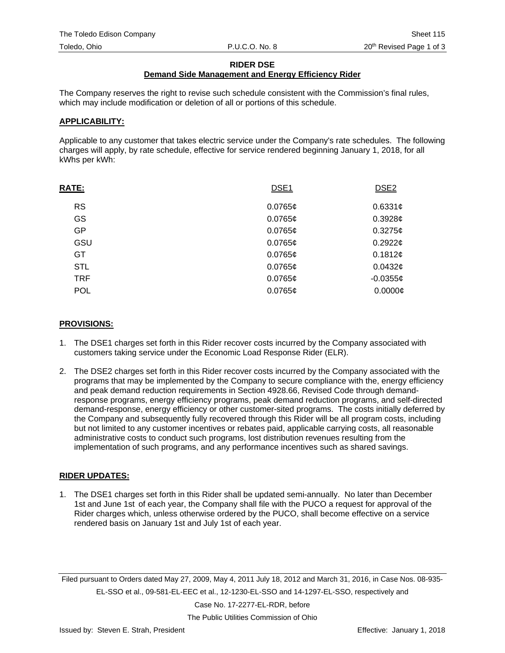#### **RIDER DSE**

# **Demand Side Management and Energy Efficiency Rider**

The Company reserves the right to revise such schedule consistent with the Commission's final rules, which may include modification or deletion of all or portions of this schedule.

## **APPLICABILITY:**

Applicable to any customer that takes electric service under the Company's rate schedules. The following charges will apply, by rate schedule, effective for service rendered beginning January 1, 2018, for all kWhs per kWh:

| $0.6331$ ¢ |
|------------|
|            |
| 0.3928c    |
| $0.3275$ ¢ |
| 0.29226    |
| 0.1812¢    |
| 0.0432c    |
| $-0.03556$ |
| 0.0000C    |
|            |

## **PROVISIONS:**

- 1. The DSE1 charges set forth in this Rider recover costs incurred by the Company associated with customers taking service under the Economic Load Response Rider (ELR).
- 2. The DSE2 charges set forth in this Rider recover costs incurred by the Company associated with the programs that may be implemented by the Company to secure compliance with the, energy efficiency and peak demand reduction requirements in Section 4928.66, Revised Code through demandresponse programs, energy efficiency programs, peak demand reduction programs, and self-directed demand-response, energy efficiency or other customer-sited programs. The costs initially deferred by the Company and subsequently fully recovered through this Rider will be all program costs, including but not limited to any customer incentives or rebates paid, applicable carrying costs, all reasonable administrative costs to conduct such programs, lost distribution revenues resulting from the implementation of such programs, and any performance incentives such as shared savings.

# **RIDER UPDATES:**

1. The DSE1 charges set forth in this Rider shall be updated semi-annually. No later than December 1st and June 1st of each year, the Company shall file with the PUCO a request for approval of the Rider charges which, unless otherwise ordered by the PUCO, shall become effective on a service rendered basis on January 1st and July 1st of each year.

Filed pursuant to Orders dated May 27, 2009, May 4, 2011 July 18, 2012 and March 31, 2016, in Case Nos. 08-935- EL-SSO et al., 09-581-EL-EEC et al., 12-1230-EL-SSO and 14-1297-EL-SSO, respectively and

Case No. 17-2277-EL-RDR, before

The Public Utilities Commission of Ohio